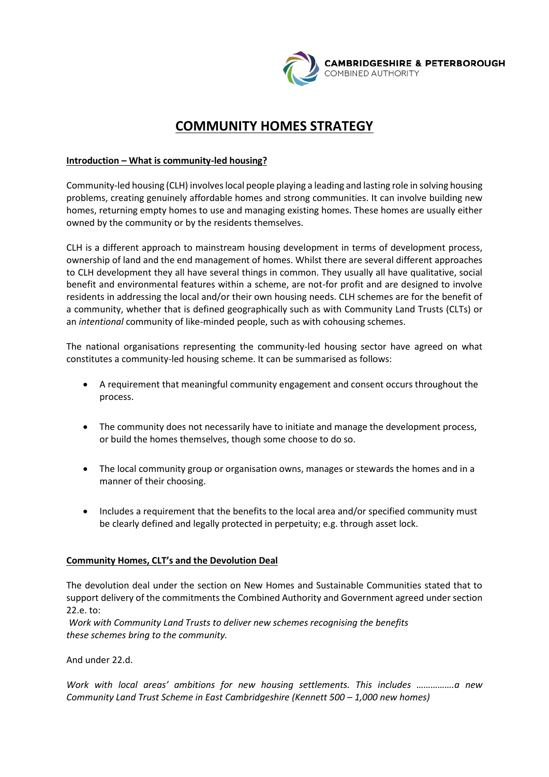

# **COMMUNITY HOMES STRATEGY**

# **Introduction – What is community-led housing?**

Community-led housing (CLH) involves local people playing a leading and lasting role in solving housing problems, creating genuinely affordable homes and strong communities. It can involve building new homes, returning empty homes to use and managing existing homes. These homes are usually either owned by the community or by the residents themselves.

CLH is a different approach to mainstream housing development in terms of development process, ownership of land and the end management of homes. Whilst there are several different approaches to CLH development they all have several things in common. They usually all have qualitative, social benefit and environmental features within a scheme, are not-for profit and are designed to involve residents in addressing the local and/or their own housing needs. CLH schemes are for the benefit of a community, whether that is defined geographically such as with Community Land Trusts (CLTs) or an *intentional* community of like-minded people, such as with cohousing schemes.

The national organisations representing the community-led housing sector have agreed on what constitutes a community-led housing scheme. It can be summarised as follows:

- A requirement that meaningful community engagement and consent occurs throughout the process.
- The community does not necessarily have to initiate and manage the development process, or build the homes themselves, though some choose to do so.
- The local community group or organisation owns, manages or stewards the homes and in a manner of their choosing.
- Includes a requirement that the benefits to the local area and/or specified community must be clearly defined and legally protected in perpetuity; e.g. through asset lock.

#### **Community Homes, CLT's and the Devolution Deal**

The devolution deal under the section on New Homes and Sustainable Communities stated that to support delivery of the commitments the Combined Authority and Government agreed under section 22.e. to:

 *Work with Community Land Trusts to deliver new schemes recognising the benefits these schemes bring to the community.* 

And under 22.d.

*Work with local areas' ambitions for new housing settlements. This includes …………….a new Community Land Trust Scheme in East Cambridgeshire (Kennett 500 – 1,000 new homes)*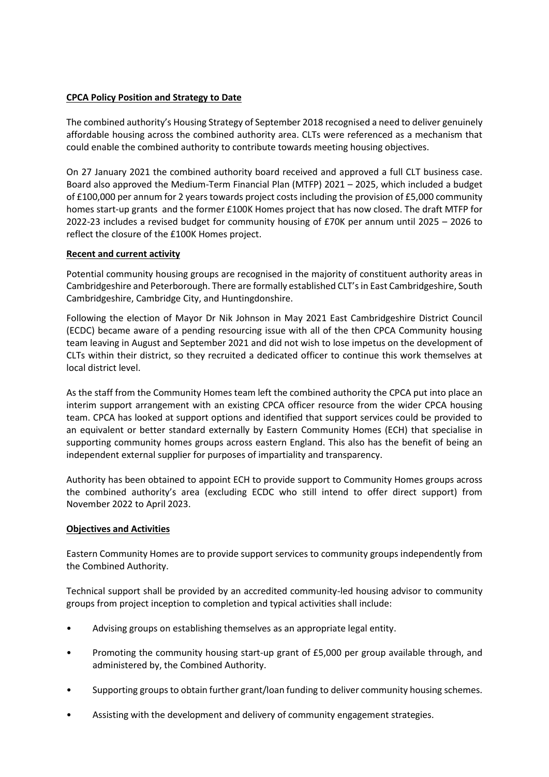# **CPCA Policy Position and Strategy to Date**

The combined authority's Housing Strategy of September 2018 recognised a need to deliver genuinely affordable housing across the combined authority area. CLTs were referenced as a mechanism that could enable the combined authority to contribute towards meeting housing objectives.

On 27 January 2021 the combined authority board received and approved a full CLT business case. Board also approved the Medium-Term Financial Plan (MTFP) 2021 – 2025, which included a budget of £100,000 per annum for 2 years towards project costs including the provision of £5,000 community homes start-up grants and the former £100K Homes project that has now closed. The draft MTFP for 2022-23 includes a revised budget for community housing of £70K per annum until 2025 – 2026 to reflect the closure of the £100K Homes project.

# **Recent and current activity**

Potential community housing groups are recognised in the majority of constituent authority areas in Cambridgeshire and Peterborough. There are formally established CLT's in East Cambridgeshire, South Cambridgeshire, Cambridge City, and Huntingdonshire.

Following the election of Mayor Dr Nik Johnson in May 2021 East Cambridgeshire District Council (ECDC) became aware of a pending resourcing issue with all of the then CPCA Community housing team leaving in August and September 2021 and did not wish to lose impetus on the development of CLTs within their district, so they recruited a dedicated officer to continue this work themselves at local district level.

As the staff from the Community Homes team left the combined authority the CPCA put into place an interim support arrangement with an existing CPCA officer resource from the wider CPCA housing team. CPCA has looked at support options and identified that support services could be provided to an equivalent or better standard externally by Eastern Community Homes (ECH) that specialise in supporting community homes groups across eastern England. This also has the benefit of being an independent external supplier for purposes of impartiality and transparency.

Authority has been obtained to appoint ECH to provide support to Community Homes groups across the combined authority's area (excluding ECDC who still intend to offer direct support) from November 2022 to April 2023.

#### **Objectives and Activities**

Eastern Community Homes are to provide support services to community groups independently from the Combined Authority.

Technical support shall be provided by an accredited community-led housing advisor to community groups from project inception to completion and typical activities shall include:

- Advising groups on establishing themselves as an appropriate legal entity.
- Promoting the community housing start-up grant of £5,000 per group available through, and administered by, the Combined Authority.
- Supporting groups to obtain further grant/loan funding to deliver community housing schemes.
- Assisting with the development and delivery of community engagement strategies.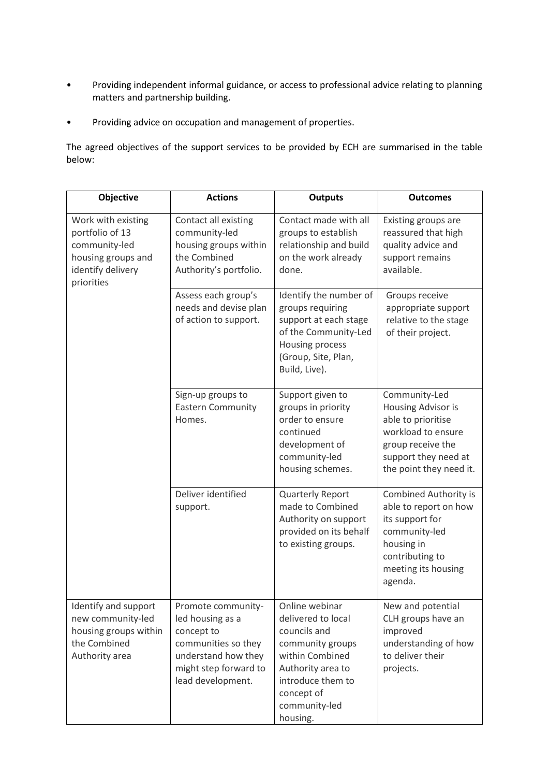- Providing independent informal guidance, or access to professional advice relating to planning matters and partnership building.
- Providing advice on occupation and management of properties.

The agreed objectives of the support services to be provided by ECH are summarised in the table below:

| Objective                                                                                                       | <b>Actions</b>                                                                                                                                   | <b>Outputs</b>                                                                                                                                                                   | <b>Outcomes</b>                                                                                                                                              |
|-----------------------------------------------------------------------------------------------------------------|--------------------------------------------------------------------------------------------------------------------------------------------------|----------------------------------------------------------------------------------------------------------------------------------------------------------------------------------|--------------------------------------------------------------------------------------------------------------------------------------------------------------|
| Work with existing<br>portfolio of 13<br>community-led<br>housing groups and<br>identify delivery<br>priorities | Contact all existing<br>community-led<br>housing groups within<br>the Combined<br>Authority's portfolio.                                         | Contact made with all<br>groups to establish<br>relationship and build<br>on the work already<br>done.                                                                           | Existing groups are<br>reassured that high<br>quality advice and<br>support remains<br>available.                                                            |
|                                                                                                                 | Assess each group's<br>needs and devise plan<br>of action to support.                                                                            | Identify the number of<br>groups requiring<br>support at each stage<br>of the Community-Led<br>Housing process<br>(Group, Site, Plan,<br>Build, Live).                           | Groups receive<br>appropriate support<br>relative to the stage<br>of their project.                                                                          |
|                                                                                                                 | Sign-up groups to<br><b>Eastern Community</b><br>Homes.                                                                                          | Support given to<br>groups in priority<br>order to ensure<br>continued<br>development of<br>community-led<br>housing schemes.                                                    | Community-Led<br>Housing Advisor is<br>able to prioritise<br>workload to ensure<br>group receive the<br>support they need at<br>the point they need it.      |
|                                                                                                                 | Deliver identified<br>support.                                                                                                                   | Quarterly Report<br>made to Combined<br>Authority on support<br>provided on its behalf<br>to existing groups.                                                                    | <b>Combined Authority is</b><br>able to report on how<br>its support for<br>community-led<br>housing in<br>contributing to<br>meeting its housing<br>agenda. |
| Identify and support<br>new community-led<br>housing groups within<br>the Combined<br>Authority area            | Promote community-<br>led housing as a<br>concept to<br>communities so they<br>understand how they<br>might step forward to<br>lead development. | Online webinar<br>delivered to local<br>councils and<br>community groups<br>within Combined<br>Authority area to<br>introduce them to<br>concept of<br>community-led<br>housing. | New and potential<br>CLH groups have an<br>improved<br>understanding of how<br>to deliver their<br>projects.                                                 |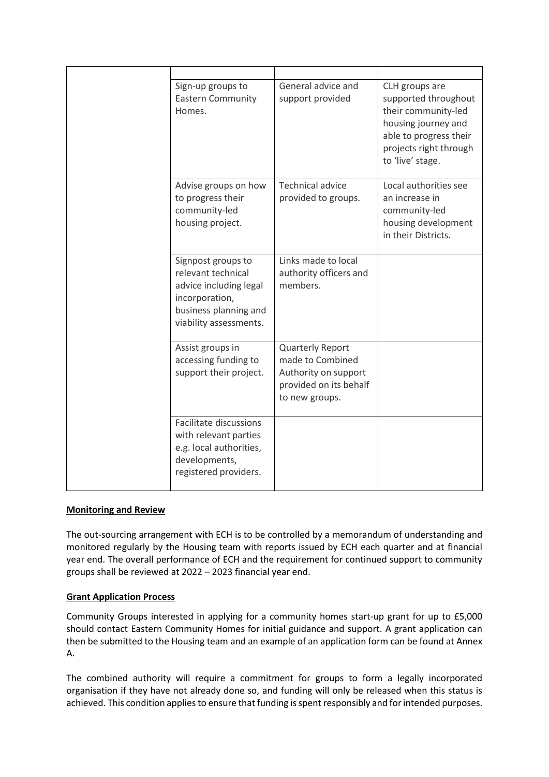| Sign-up groups to<br><b>Eastern Community</b><br>Homes.                                                                                 | General advice and<br>support provided                                                                          | CLH groups are<br>supported throughout<br>their community-led<br>housing journey and<br>able to progress their<br>projects right through<br>to 'live' stage. |
|-----------------------------------------------------------------------------------------------------------------------------------------|-----------------------------------------------------------------------------------------------------------------|--------------------------------------------------------------------------------------------------------------------------------------------------------------|
| Advise groups on how<br>to progress their<br>community-led<br>housing project.                                                          | <b>Technical advice</b><br>provided to groups.                                                                  | Local authorities see<br>an increase in<br>community-led<br>housing development<br>in their Districts.                                                       |
| Signpost groups to<br>relevant technical<br>advice including legal<br>incorporation,<br>business planning and<br>viability assessments. | Links made to local<br>authority officers and<br>members.                                                       |                                                                                                                                                              |
| Assist groups in<br>accessing funding to<br>support their project.                                                                      | <b>Quarterly Report</b><br>made to Combined<br>Authority on support<br>provided on its behalf<br>to new groups. |                                                                                                                                                              |
| Facilitate discussions<br>with relevant parties<br>e.g. local authorities,<br>developments,<br>registered providers.                    |                                                                                                                 |                                                                                                                                                              |

#### **Monitoring and Review**

The out-sourcing arrangement with ECH is to be controlled by a memorandum of understanding and monitored regularly by the Housing team with reports issued by ECH each quarter and at financial year end. The overall performance of ECH and the requirement for continued support to community groups shall be reviewed at 2022 – 2023 financial year end.

#### **Grant Application Process**

Community Groups interested in applying for a community homes start-up grant for up to £5,000 should contact Eastern Community Homes for initial guidance and support. A grant application can then be submitted to the Housing team and an example of an application form can be found at Annex A.

The combined authority will require a commitment for groups to form a legally incorporated organisation if they have not already done so, and funding will only be released when this status is achieved. This condition applies to ensure that funding is spent responsibly and for intended purposes.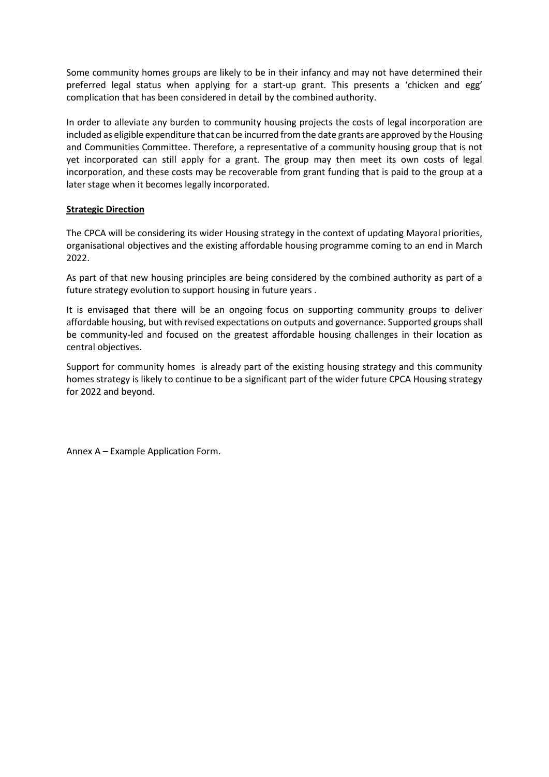Some community homes groups are likely to be in their infancy and may not have determined their preferred legal status when applying for a start-up grant. This presents a 'chicken and egg' complication that has been considered in detail by the combined authority.

In order to alleviate any burden to community housing projects the costs of legal incorporation are included as eligible expenditure that can be incurred from the date grants are approved by the Housing and Communities Committee. Therefore, a representative of a community housing group that is not yet incorporated can still apply for a grant. The group may then meet its own costs of legal incorporation, and these costs may be recoverable from grant funding that is paid to the group at a later stage when it becomes legally incorporated.

# **Strategic Direction**

The CPCA will be considering its wider Housing strategy in the context of updating Mayoral priorities, organisational objectives and the existing affordable housing programme coming to an end in March 2022.

As part of that new housing principles are being considered by the combined authority as part of a future strategy evolution to support housing in future years .

It is envisaged that there will be an ongoing focus on supporting community groups to deliver affordable housing, but with revised expectations on outputs and governance. Supported groups shall be community-led and focused on the greatest affordable housing challenges in their location as central objectives.

Support for community homes is already part of the existing housing strategy and this community homes strategy is likely to continue to be a significant part of the wider future CPCA Housing strategy for 2022 and beyond.

Annex A – Example Application Form.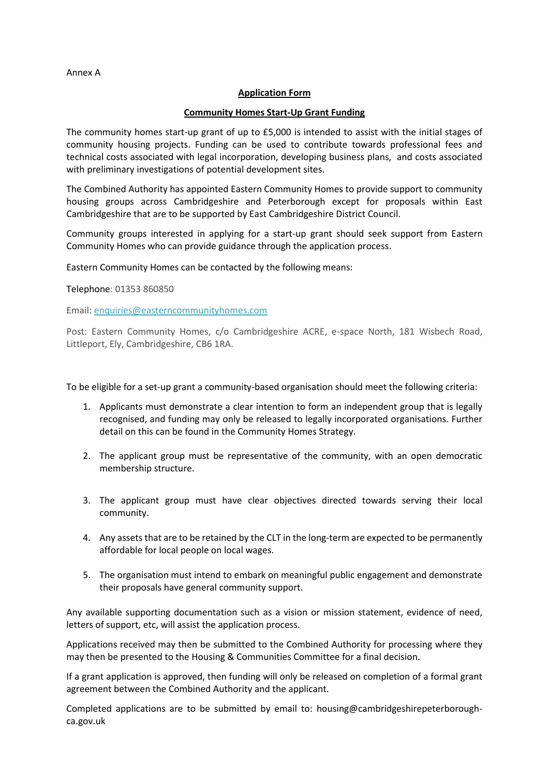Annex A

#### **Application Form**

#### **Community Homes Start-Up Grant Funding**

The community homes start-up grant of up to £5,000 is intended to assist with the initial stages of community housing projects. Funding can be used to contribute towards professional fees and technical costs associated with legal incorporation, developing business plans, and costs associated with preliminary investigations of potential development sites.

The Combined Authority has appointed Eastern Community Homes to provide support to community housing groups across Cambridgeshire and Peterborough except for proposals within East Cambridgeshire that are to be supported by East Cambridgeshire District Council.

Community groups interested in applying for a start-up grant should seek support from Eastern Community Homes who can provide guidance through the application process.

Eastern Community Homes can be contacted by the following means:

Telephone: 01353 860850

Email: [enquiries@easterncommunityhomes.com](mailto:enquiries@easterncommunityhomes.com)

Post: Eastern Community Homes, c/o Cambridgeshire ACRE, e-space North, 181 Wisbech Road, Littleport, Ely, Cambridgeshire, CB6 1RA.

To be eligible for a set-up grant a community-based organisation should meet the following criteria:

- 1. Applicants must demonstrate a clear intention to form an independent group that is legally recognised, and funding may only be released to legally incorporated organisations. Further detail on this can be found in the Community Homes Strategy.
- 2. The applicant group must be representative of the community, with an open democratic membership structure.
- 3. The applicant group must have clear objectives directed towards serving their local community.
- 4. Any assets that are to be retained by the CLT in the long-term are expected to be permanently affordable for local people on local wages.
- 5. The organisation must intend to embark on meaningful public engagement and demonstrate their proposals have general community support.

Any available supporting documentation such as a vision or mission statement, evidence of need, letters of support, etc, will assist the application process.

Applications received may then be submitted to the Combined Authority for processing where they may then be presented to the Housing & Communities Committee for a final decision.

If a grant application is approved, then funding will only be released on completion of a formal grant agreement between the Combined Authority and the applicant.

Completed applications are to be submitted by email to: housing@cambridgeshirepeterboroughca.gov.uk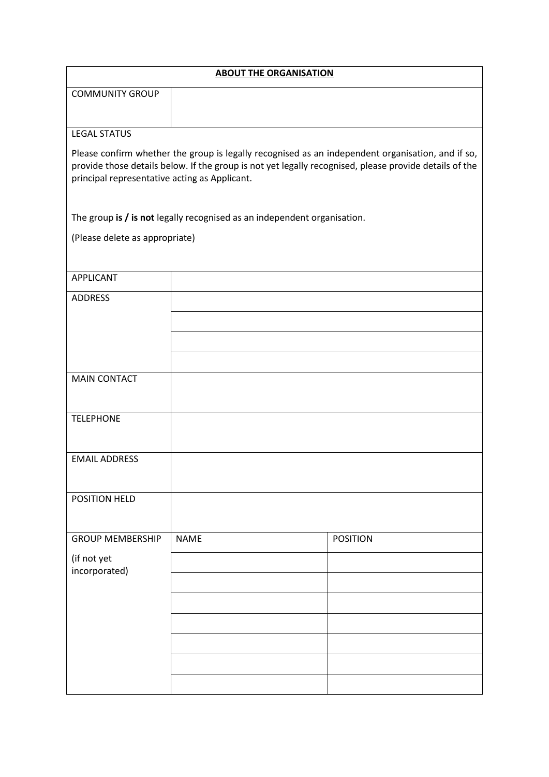| <b>ABOUT THE ORGANISATION</b>                 |                                                                          |                                                                                                                                                                                                             |  |  |
|-----------------------------------------------|--------------------------------------------------------------------------|-------------------------------------------------------------------------------------------------------------------------------------------------------------------------------------------------------------|--|--|
| <b>COMMUNITY GROUP</b>                        |                                                                          |                                                                                                                                                                                                             |  |  |
|                                               |                                                                          |                                                                                                                                                                                                             |  |  |
| <b>LEGAL STATUS</b>                           |                                                                          |                                                                                                                                                                                                             |  |  |
| principal representative acting as Applicant. |                                                                          | Please confirm whether the group is legally recognised as an independent organisation, and if so,<br>provide those details below. If the group is not yet legally recognised, please provide details of the |  |  |
|                                               | The group is / is not legally recognised as an independent organisation. |                                                                                                                                                                                                             |  |  |
| (Please delete as appropriate)                |                                                                          |                                                                                                                                                                                                             |  |  |
| <b>APPLICANT</b>                              |                                                                          |                                                                                                                                                                                                             |  |  |
| <b>ADDRESS</b>                                |                                                                          |                                                                                                                                                                                                             |  |  |
|                                               |                                                                          |                                                                                                                                                                                                             |  |  |
|                                               |                                                                          |                                                                                                                                                                                                             |  |  |
|                                               |                                                                          |                                                                                                                                                                                                             |  |  |
| <b>MAIN CONTACT</b>                           |                                                                          |                                                                                                                                                                                                             |  |  |
| <b>TELEPHONE</b>                              |                                                                          |                                                                                                                                                                                                             |  |  |
| <b>EMAIL ADDRESS</b>                          |                                                                          |                                                                                                                                                                                                             |  |  |
| POSITION HELD                                 |                                                                          |                                                                                                                                                                                                             |  |  |
|                                               |                                                                          |                                                                                                                                                                                                             |  |  |
| <b>GROUP MEMBERSHIP</b>                       | <b>NAME</b>                                                              | <b>POSITION</b>                                                                                                                                                                                             |  |  |
| (if not yet                                   |                                                                          |                                                                                                                                                                                                             |  |  |
| incorporated)                                 |                                                                          |                                                                                                                                                                                                             |  |  |
|                                               |                                                                          |                                                                                                                                                                                                             |  |  |
|                                               |                                                                          |                                                                                                                                                                                                             |  |  |
|                                               |                                                                          |                                                                                                                                                                                                             |  |  |
|                                               |                                                                          |                                                                                                                                                                                                             |  |  |
|                                               |                                                                          |                                                                                                                                                                                                             |  |  |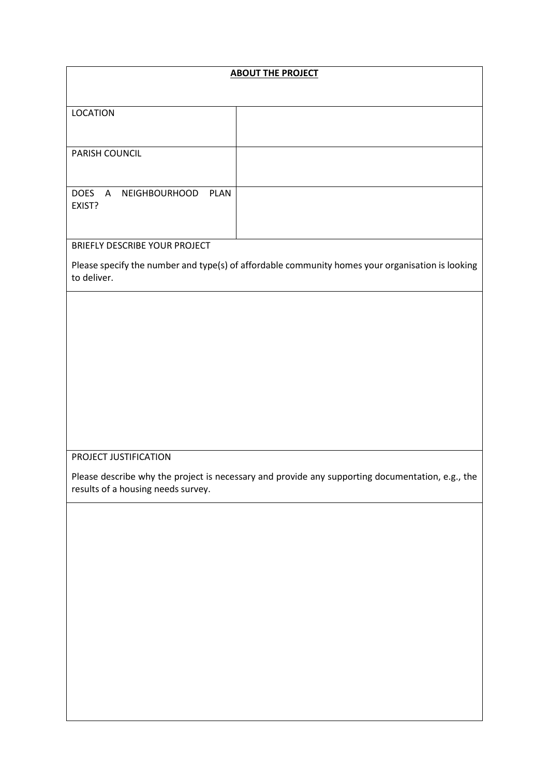| <b>ABOUT THE PROJECT</b>                             |                                                                                                  |  |
|------------------------------------------------------|--------------------------------------------------------------------------------------------------|--|
|                                                      |                                                                                                  |  |
| <b>LOCATION</b>                                      |                                                                                                  |  |
|                                                      |                                                                                                  |  |
|                                                      |                                                                                                  |  |
| PARISH COUNCIL                                       |                                                                                                  |  |
|                                                      |                                                                                                  |  |
| <b>DOES</b><br>PLAN<br>NEIGHBOURHOOD<br>$\mathsf{A}$ |                                                                                                  |  |
| EXIST?                                               |                                                                                                  |  |
|                                                      |                                                                                                  |  |
| <b>BRIEFLY DESCRIBE YOUR PROJECT</b>                 |                                                                                                  |  |
|                                                      | Please specify the number and type(s) of affordable community homes your organisation is looking |  |
| to deliver.                                          |                                                                                                  |  |
|                                                      |                                                                                                  |  |
|                                                      |                                                                                                  |  |
|                                                      |                                                                                                  |  |
|                                                      |                                                                                                  |  |
|                                                      |                                                                                                  |  |
|                                                      |                                                                                                  |  |
|                                                      |                                                                                                  |  |
|                                                      |                                                                                                  |  |
|                                                      |                                                                                                  |  |
|                                                      |                                                                                                  |  |
| PROJECT JUSTIFICATION                                |                                                                                                  |  |
| results of a housing needs survey.                   | Please describe why the project is necessary and provide any supporting documentation, e.g., the |  |
|                                                      |                                                                                                  |  |
|                                                      |                                                                                                  |  |
|                                                      |                                                                                                  |  |
|                                                      |                                                                                                  |  |
|                                                      |                                                                                                  |  |
|                                                      |                                                                                                  |  |
|                                                      |                                                                                                  |  |
|                                                      |                                                                                                  |  |
|                                                      |                                                                                                  |  |
|                                                      |                                                                                                  |  |
|                                                      |                                                                                                  |  |
|                                                      |                                                                                                  |  |
|                                                      |                                                                                                  |  |
|                                                      |                                                                                                  |  |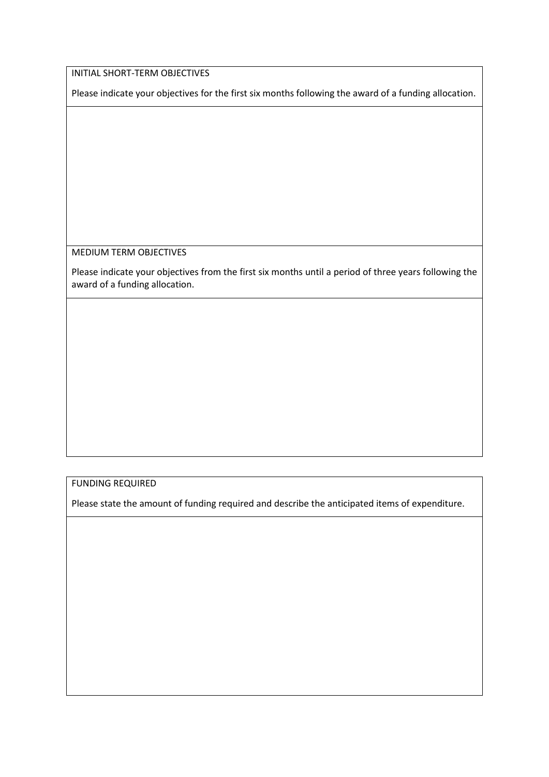INITIAL SHORT-TERM OBJECTIVES

Please indicate your objectives for the first six months following the award of a funding allocation.

MEDIUM TERM OBJECTIVES

Please indicate your objectives from the first six months until a period of three years following the award of a funding allocation.

FUNDING REQUIRED

Please state the amount of funding required and describe the anticipated items of expenditure.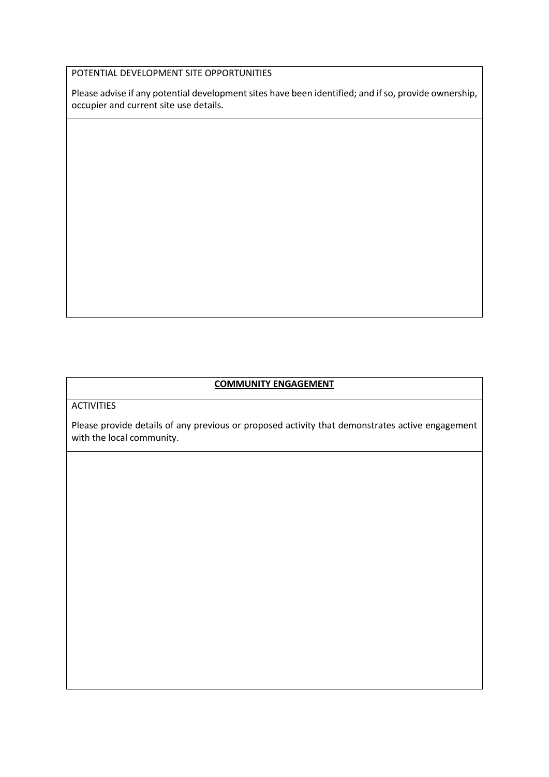# POTENTIAL DEVELOPMENT SITE OPPORTUNITIES

Please advise if any potential development sites have been identified; and if so, provide ownership, occupier and current site use details.

# **COMMUNITY ENGAGEMENT**

**ACTIVITIES** 

Please provide details of any previous or proposed activity that demonstrates active engagement with the local community.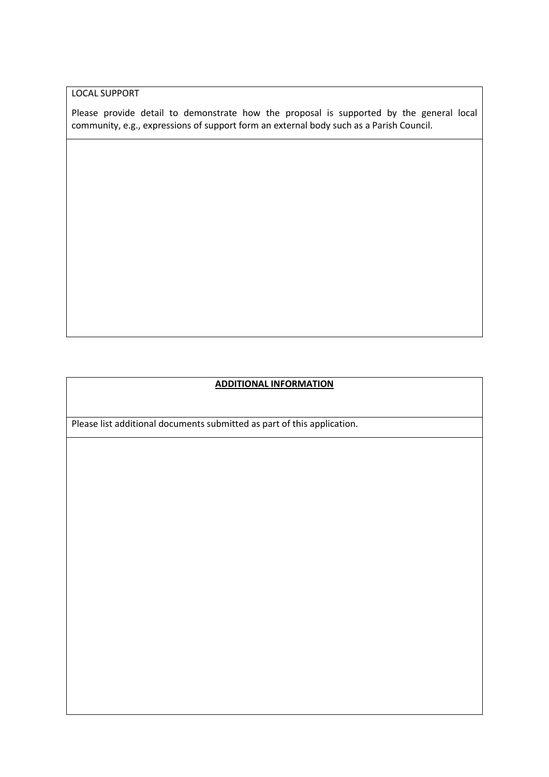LOCAL SUPPORT

Please provide detail to demonstrate how the proposal is supported by the general local community, e.g., expressions of support form an external body such as a Parish Council.

# **ADDITIONAL INFORMATION**

Please list additional documents submitted as part of this application.